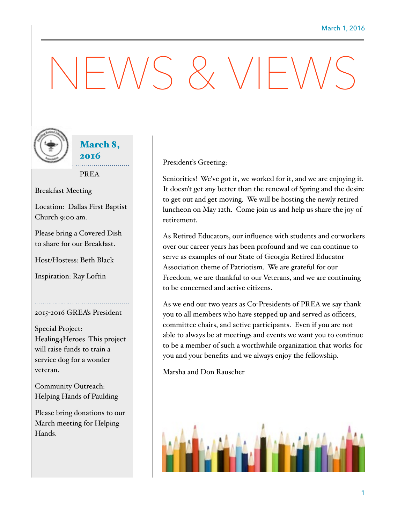## $V/S \& V$



March 8, 2016

. . . . . . . . . . . . . . . . .

PREA

Breakfast Meeting

Location: Dallas First Baptist Church 9:00 am.

Please bring a Covered Dish to share for our Breakfast.

Host/Hostess: Beth Black

Inspiration: Ray Loftin

## 2015-2016 GREA's President

Special Project: Healing4Heroes This project will raise funds to train a service dog for a wonder veteran.

Community Outreach: Helping Hands of Paulding

Please bring donations to our March meeting for Helping Hands.

## President's Greeting:

Seniorities! We've got it, we worked for it, and we are enjoying it. It doesn't get any better than the renewal of Spring and the desire to get out and get moving. We will be hosting the newly retired luncheon on May 12th. Come join us and help us share the joy of retirement.

As Retired Educators, our influence with students and co-workers over our career years has been profound and we can continue to serve as examples of our State of Georgia Retired Educator Association theme of Patriotism. We are grateful for our Freedom, we are thankful to our Veterans, and we are continuing to be concerned and active citizens.

As we end our two years as Co-Presidents of PREA we say thank you to all members who have stepped up and served as officers, committee chairs, and active participants. Even if you are not able to always be at meetings and events we want you to continue to be a member of such a worthwhile organization that works for you and your benefits and we always enjoy the fellowship.

Marsha and Don Rauscher

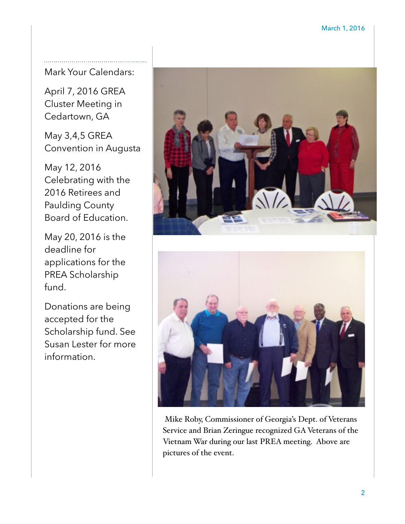Mark Your Calendars:

April 7, 2016 GREA Cluster Meeting in Cedartown, GA

May 3,4,5 GREA Convention in Augusta

May 12, 2016 Celebrating with the 2016 Retirees and Paulding County Board of Education.

May 20, 2016 is the deadline for applications for the PREA Scholarship fund.

Donations are being accepted for the Scholarship fund. See Susan Lester for more information.





 Mike Roby, Commissioner of Georgia's Dept. of Veterans Service and Brian Zeringue recognized GA Veterans of the Vietnam War during our last PREA meeting. Above are pictures of the event.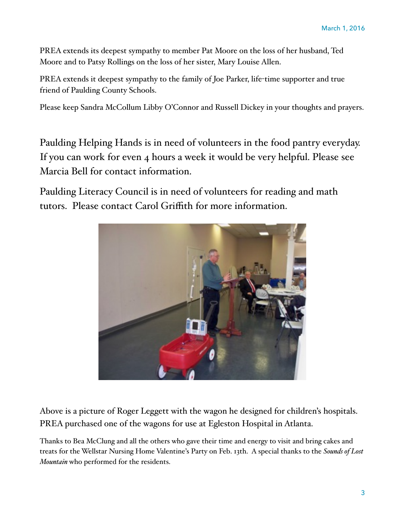PREA extends its deepest sympathy to member Pat Moore on the loss of her husband, Ted Moore and to Patsy Rollings on the loss of her sister, Mary Louise Allen.

PREA extends it deepest sympathy to the family of Joe Parker, life-time supporter and true friend of Paulding County Schools.

Please keep Sandra McCollum Libby O'Connor and Russell Dickey in your thoughts and prayers.

Paulding Helping Hands is in need of volunteers in the food pantry everyday. If you can work for even 4 hours a week it would be very helpful. Please see Marcia Bell for contact information.

Paulding Literacy Council is in need of volunteers for reading and math tutors. Please contact Carol Griffith for more information.



Above is a picture of Roger Leggett with the wagon he designed for children's hospitals. PREA purchased one of the wagons for use at Egleston Hospital in Atlanta.

Thanks to Bea McClung and all the others who gave their time and energy to visit and bring cakes and treats for the Wellstar Nursing Home Valentine's Party on Feb. 13th. A special thanks to the *Sounds of Lost Mountain* who performed for the residents.